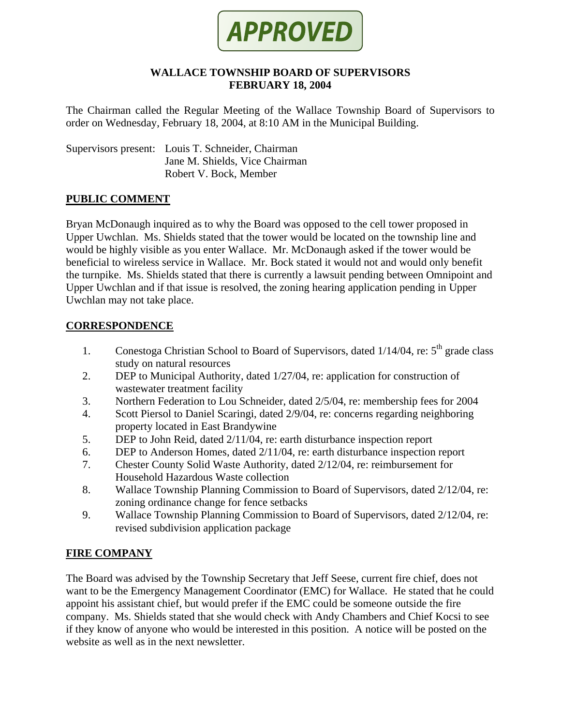

#### **WALLACE TOWNSHIP BOARD OF SUPERVISORS FEBRUARY 18, 2004**

The Chairman called the Regular Meeting of the Wallace Township Board of Supervisors to order on Wednesday, February 18, 2004, at 8:10 AM in the Municipal Building.

Supervisors present: Louis T. Schneider, Chairman Jane M. Shields, Vice Chairman Robert V. Bock, Member

### **PUBLIC COMMENT**

Bryan McDonaugh inquired as to why the Board was opposed to the cell tower proposed in Upper Uwchlan. Ms. Shields stated that the tower would be located on the township line and would be highly visible as you enter Wallace. Mr. McDonaugh asked if the tower would be beneficial to wireless service in Wallace. Mr. Bock stated it would not and would only benefit the turnpike. Ms. Shields stated that there is currently a lawsuit pending between Omnipoint and Upper Uwchlan and if that issue is resolved, the zoning hearing application pending in Upper Uwchlan may not take place.

### **CORRESPONDENCE**

- 1. Conestoga Christian School to Board of Supervisors, dated  $1/14/04$ , re:  $5<sup>th</sup>$  grade class study on natural resources
- 2. DEP to Municipal Authority, dated 1/27/04, re: application for construction of wastewater treatment facility
- 3. Northern Federation to Lou Schneider, dated 2/5/04, re: membership fees for 2004
- 4. Scott Piersol to Daniel Scaringi, dated 2/9/04, re: concerns regarding neighboring property located in East Brandywine
- 5. DEP to John Reid, dated 2/11/04, re: earth disturbance inspection report
- 6. DEP to Anderson Homes, dated 2/11/04, re: earth disturbance inspection report
- 7. Chester County Solid Waste Authority, dated 2/12/04, re: reimbursement for Household Hazardous Waste collection
- 8. Wallace Township Planning Commission to Board of Supervisors, dated 2/12/04, re: zoning ordinance change for fence setbacks
- 9. Wallace Township Planning Commission to Board of Supervisors, dated 2/12/04, re: revised subdivision application package

# **FIRE COMPANY**

The Board was advised by the Township Secretary that Jeff Seese, current fire chief, does not want to be the Emergency Management Coordinator (EMC) for Wallace. He stated that he could appoint his assistant chief, but would prefer if the EMC could be someone outside the fire company. Ms. Shields stated that she would check with Andy Chambers and Chief Kocsi to see if they know of anyone who would be interested in this position. A notice will be posted on the website as well as in the next newsletter.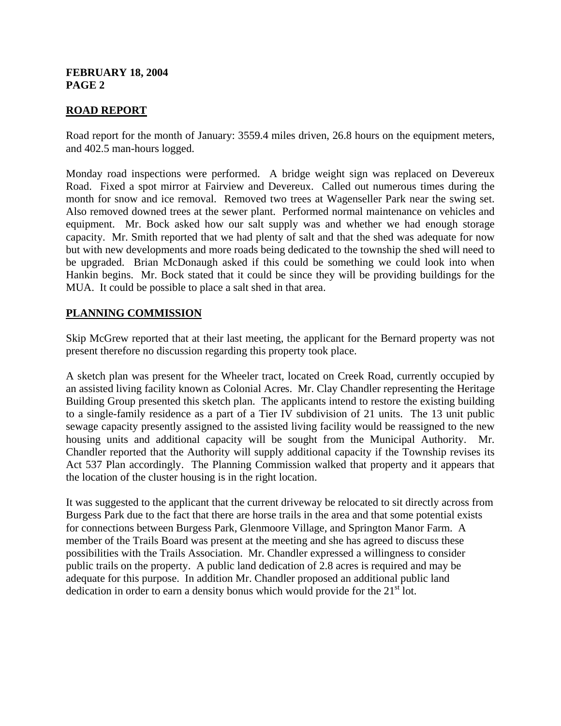# **ROAD REPORT**

Road report for the month of January: 3559.4 miles driven, 26.8 hours on the equipment meters, and 402.5 man-hours logged.

Monday road inspections were performed. A bridge weight sign was replaced on Devereux Road. Fixed a spot mirror at Fairview and Devereux. Called out numerous times during the month for snow and ice removal. Removed two trees at Wagenseller Park near the swing set. Also removed downed trees at the sewer plant. Performed normal maintenance on vehicles and equipment. Mr. Bock asked how our salt supply was and whether we had enough storage capacity. Mr. Smith reported that we had plenty of salt and that the shed was adequate for now but with new developments and more roads being dedicated to the township the shed will need to be upgraded. Brian McDonaugh asked if this could be something we could look into when Hankin begins. Mr. Bock stated that it could be since they will be providing buildings for the MUA. It could be possible to place a salt shed in that area.

# **PLANNING COMMISSION**

Skip McGrew reported that at their last meeting, the applicant for the Bernard property was not present therefore no discussion regarding this property took place.

A sketch plan was present for the Wheeler tract, located on Creek Road, currently occupied by an assisted living facility known as Colonial Acres. Mr. Clay Chandler representing the Heritage Building Group presented this sketch plan. The applicants intend to restore the existing building to a single-family residence as a part of a Tier IV subdivision of 21 units. The 13 unit public sewage capacity presently assigned to the assisted living facility would be reassigned to the new housing units and additional capacity will be sought from the Municipal Authority. Mr. Chandler reported that the Authority will supply additional capacity if the Township revises its Act 537 Plan accordingly. The Planning Commission walked that property and it appears that the location of the cluster housing is in the right location.

It was suggested to the applicant that the current driveway be relocated to sit directly across from Burgess Park due to the fact that there are horse trails in the area and that some potential exists for connections between Burgess Park, Glenmoore Village, and Springton Manor Farm. A member of the Trails Board was present at the meeting and she has agreed to discuss these possibilities with the Trails Association. Mr. Chandler expressed a willingness to consider public trails on the property. A public land dedication of 2.8 acres is required and may be adequate for this purpose. In addition Mr. Chandler proposed an additional public land dedication in order to earn a density bonus which would provide for the  $21<sup>st</sup>$  lot.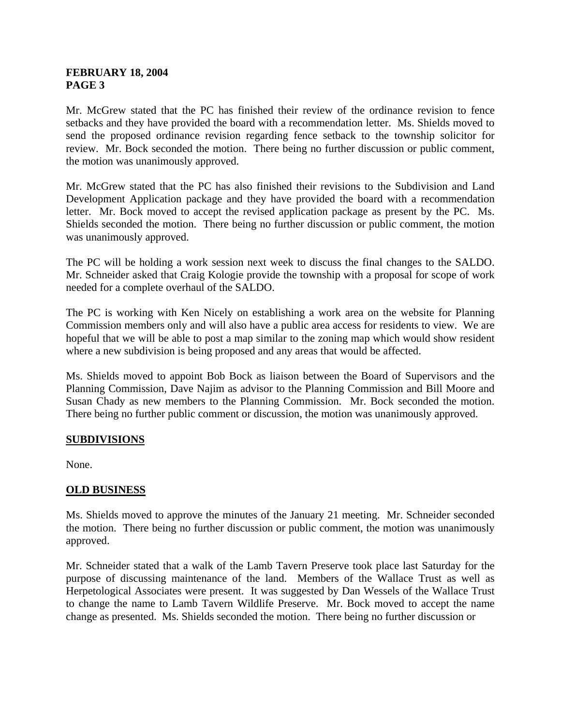Mr. McGrew stated that the PC has finished their review of the ordinance revision to fence setbacks and they have provided the board with a recommendation letter. Ms. Shields moved to send the proposed ordinance revision regarding fence setback to the township solicitor for review. Mr. Bock seconded the motion. There being no further discussion or public comment, the motion was unanimously approved.

Mr. McGrew stated that the PC has also finished their revisions to the Subdivision and Land Development Application package and they have provided the board with a recommendation letter. Mr. Bock moved to accept the revised application package as present by the PC. Ms. Shields seconded the motion. There being no further discussion or public comment, the motion was unanimously approved.

The PC will be holding a work session next week to discuss the final changes to the SALDO. Mr. Schneider asked that Craig Kologie provide the township with a proposal for scope of work needed for a complete overhaul of the SALDO.

The PC is working with Ken Nicely on establishing a work area on the website for Planning Commission members only and will also have a public area access for residents to view. We are hopeful that we will be able to post a map similar to the zoning map which would show resident where a new subdivision is being proposed and any areas that would be affected.

Ms. Shields moved to appoint Bob Bock as liaison between the Board of Supervisors and the Planning Commission, Dave Najim as advisor to the Planning Commission and Bill Moore and Susan Chady as new members to the Planning Commission. Mr. Bock seconded the motion. There being no further public comment or discussion, the motion was unanimously approved.

# **SUBDIVISIONS**

None.

# **OLD BUSINESS**

Ms. Shields moved to approve the minutes of the January 21 meeting. Mr. Schneider seconded the motion. There being no further discussion or public comment, the motion was unanimously approved.

Mr. Schneider stated that a walk of the Lamb Tavern Preserve took place last Saturday for the purpose of discussing maintenance of the land. Members of the Wallace Trust as well as Herpetological Associates were present. It was suggested by Dan Wessels of the Wallace Trust to change the name to Lamb Tavern Wildlife Preserve. Mr. Bock moved to accept the name change as presented. Ms. Shields seconded the motion. There being no further discussion or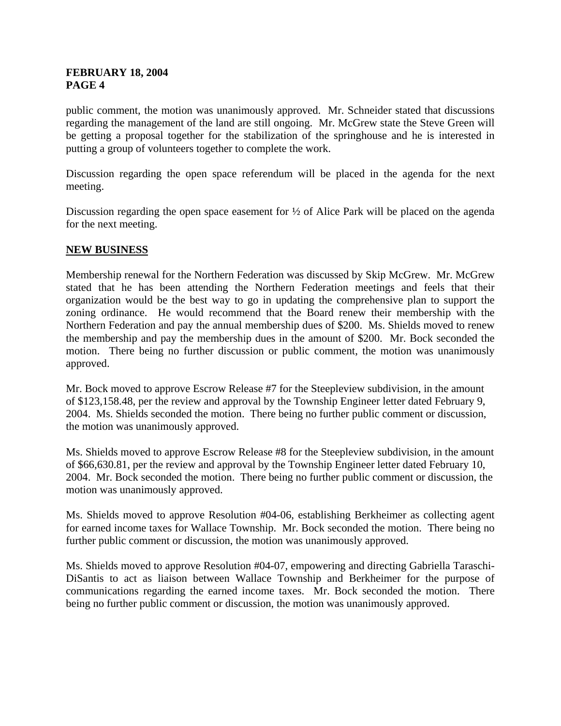public comment, the motion was unanimously approved. Mr. Schneider stated that discussions regarding the management of the land are still ongoing. Mr. McGrew state the Steve Green will be getting a proposal together for the stabilization of the springhouse and he is interested in putting a group of volunteers together to complete the work.

Discussion regarding the open space referendum will be placed in the agenda for the next meeting.

Discussion regarding the open space easement for  $\frac{1}{2}$  of Alice Park will be placed on the agenda for the next meeting.

# **NEW BUSINESS**

Membership renewal for the Northern Federation was discussed by Skip McGrew. Mr. McGrew stated that he has been attending the Northern Federation meetings and feels that their organization would be the best way to go in updating the comprehensive plan to support the zoning ordinance. He would recommend that the Board renew their membership with the Northern Federation and pay the annual membership dues of \$200. Ms. Shields moved to renew the membership and pay the membership dues in the amount of \$200. Mr. Bock seconded the motion. There being no further discussion or public comment, the motion was unanimously approved.

Mr. Bock moved to approve Escrow Release #7 for the Steepleview subdivision, in the amount of \$123,158.48, per the review and approval by the Township Engineer letter dated February 9, 2004. Ms. Shields seconded the motion. There being no further public comment or discussion, the motion was unanimously approved.

Ms. Shields moved to approve Escrow Release #8 for the Steepleview subdivision, in the amount of \$66,630.81, per the review and approval by the Township Engineer letter dated February 10, 2004. Mr. Bock seconded the motion. There being no further public comment or discussion, the motion was unanimously approved.

Ms. Shields moved to approve Resolution #04-06, establishing Berkheimer as collecting agent for earned income taxes for Wallace Township. Mr. Bock seconded the motion. There being no further public comment or discussion, the motion was unanimously approved.

Ms. Shields moved to approve Resolution #04-07, empowering and directing Gabriella Taraschi-DiSantis to act as liaison between Wallace Township and Berkheimer for the purpose of communications regarding the earned income taxes. Mr. Bock seconded the motion. There being no further public comment or discussion, the motion was unanimously approved.